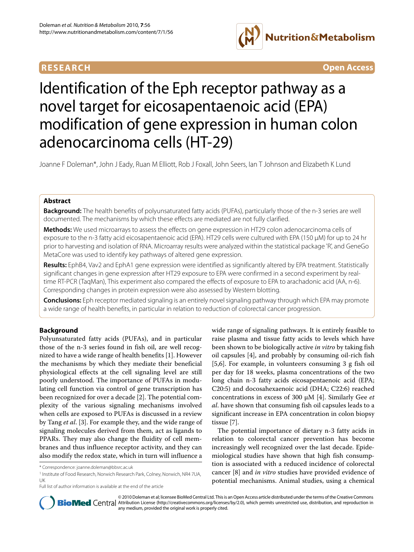

**RESEARCH Open Access**

# Identification of the Eph receptor pathway as a novel target for eicosapentaenoic acid (EPA) modification of gene expression in human colon adenocarcinoma cells (HT-29)

Joanne F Doleman\*, John J Eady, Ruan M Elliott, Rob J Foxall, John Seers, Ian T Johnson and Elizabeth K Lund

# **Abstract**

**Background:** The health benefits of polyunsaturated fatty acids (PUFAs), particularly those of the n-3 series are well documented. The mechanisms by which these effects are mediated are not fully clarified.

**Methods:** We used microarrays to assess the effects on gene expression in HT29 colon adenocarcinoma cells of exposure to the n-3 fatty acid eicosapentaenoic acid (EPA). HT29 cells were cultured with EPA (150 μM) for up to 24 hr prior to harvesting and isolation of RNA. Microarray results were analyzed within the statistical package 'R', and GeneGo MetaCore was used to identify key pathways of altered gene expression.

**Results:** EphB4, Vav2 and EphA1 gene expression were identified as significantly altered by EPA treatment. Statistically significant changes in gene expression after HT29 exposure to EPA were confirmed in a second experiment by realtime RT-PCR (TaqMan), This experiment also compared the effects of exposure to EPA to arachadonic acid (AA, n-6). Corresponding changes in protein expression were also assessed by Western blotting.

**Conclusions:** Eph receptor mediated signaling is an entirely novel signaling pathway through which EPA may promote a wide range of health benefits, in particular in relation to reduction of colorectal cancer progression.

# **Background**

Polyunsaturated fatty acids (PUFAs), and in particular those of the n-3 series found in fish oil, are well recognized to have a wide range of health benefits [\[1](#page-9-0)]. However the mechanisms by which they mediate their beneficial physiological effects at the cell signaling level are still poorly understood. The importance of PUFAs in modulating cell function via control of gene transcription has been recognized for over a decade [[2\]](#page-9-1). The potential complexity of the various signaling mechanisms involved when cells are exposed to PUFAs is discussed in a review by Tang *et al*. [\[3](#page-9-2)]. For example they, and the wide range of signaling molecules derived from them, act as ligands to PPARs. They may also change the fluidity of cell membranes and thus influence receptor activity, and they can also modify the redox state, which in turn will influence a

wide range of signaling pathways. It is entirely feasible to raise plasma and tissue fatty acids to levels which have been shown to be biologically active *in vitro* by taking fish oil capsules [[4\]](#page-9-3), and probably by consuming oil-rich fish [[5,](#page-10-0)[6](#page-10-1)]. For example, in volunteers consuming 3 g fish oil per day for 18 weeks, plasma concentrations of the two long chain n-3 fatty acids eicosapentaenoic acid (EPA; C20:5) and docosahexaenoic acid (DHA; C22:6) reached concentrations in excess of 300 μM [[4\]](#page-9-3). Similarly Gee *et al*. have shown that consuming fish oil capsules leads to a significant increase in EPA concentration in colon biopsy tissue [\[7](#page-10-2)].

The potential importance of dietary n-3 fatty acids in relation to colorectal cancer prevention has become increasingly well recognized over the last decade. Epidemiological studies have shown that high fish consumption is associated with a reduced incidence of colorectal cancer [[8\]](#page-10-3) and *in vitro* studies have provided evidence of potential mechanisms. Animal studies, using a chemical



© 2010 Doleman et al; licensee BioMed Central Ltd. This is an Open Access article distributed under the terms of the Creative Commons **BioMed** Central Attribution License (http://creativecommons.org/licenses/by/2.0), which permits unrestricted use, distribution, and reproduction in any medium, provided the original work is properly cited.

<sup>\*</sup> Correspondence: joanne.doleman@bbsrc.ac.uk

<sup>1</sup> Institute of Food Research, Norwich Research Park, Colney, Norwich, NR4 7UA, UK

Full list of author information is available at the end of the article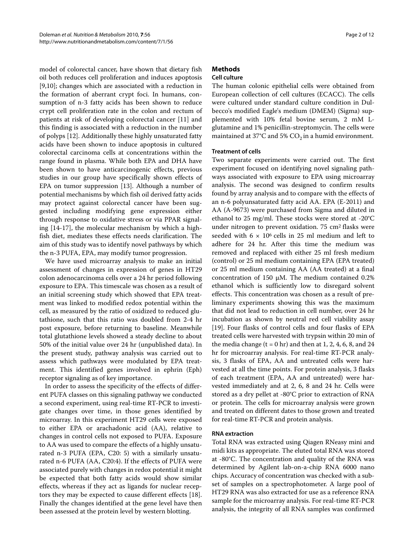model of colorectal cancer, have shown that dietary fish oil both reduces cell proliferation and induces apoptosis [[9,](#page-10-4)[10\]](#page-10-5); changes which are associated with a reduction in the formation of aberrant crypt foci. In humans, consumption of n-3 fatty acids has been shown to reduce crypt cell proliferation rate in the colon and rectum of patients at risk of developing colorectal cancer [[11\]](#page-10-6) and this finding is associated with a reduction in the number of polyps [\[12](#page-10-7)]. Additionally these highly unsaturated fatty acids have been shown to induce apoptosis in cultured colorectal carcinoma cells at concentrations within the range found in plasma. While both EPA and DHA have been shown to have anticarcinogenic effects, previous studies in our group have specifically shown effects of EPA on tumor suppression [[13\]](#page-10-8). Although a number of potential mechanisms by which fish oil derived fatty acids may protect against colorectal cancer have been suggested including modifying gene expression either through response to oxidative stress or via PPAR signaling [[14](#page-10-9)[-17](#page-10-10)], the molecular mechanism by which a highfish diet, mediates these effects needs clarification. The aim of this study was to identify novel pathways by which the n-3 PUFA, EPA, may modify tumor progression.

We have used microarray analysis to make an initial assessment of changes in expression of genes in HT29 colon adenocarcinoma cells over a 24 hr period following exposure to EPA. This timescale was chosen as a result of an initial screening study which showed that EPA treatment was linked to modified redox potential within the cell, as measured by the ratio of oxidized to reduced glutathione, such that this ratio was doubled from 2-4 hr post exposure, before returning to baseline. Meanwhile total glutathione levels showed a steady decline to about 50% of the initial value over 24 hr (unpublished data). In the present study, pathway analysis was carried out to assess which pathways were modulated by EPA treatment. This identified genes involved in ephrin (Eph) receptor signaling as of key importance.

In order to assess the specificity of the effects of different PUFA classes on this signaling pathway we conducted a second experiment, using real-time RT-PCR to investigate changes over time, in those genes identified by microarray. In this experiment HT29 cells were exposed to either EPA or arachadonic acid (AA), relative to changes in control cells not exposed to PUFA. Exposure to AA was used to compare the effects of a highly unsaturated n-3 PUFA (EPA, C20: 5) with a similarly unsaturated n-6 PUFA (AA, C20:4). If the effects of PUFA were associated purely with changes in redox potential it might be expected that both fatty acids would show similar effects, whereas if they act as ligands for nuclear receptors they may be expected to cause different effects [\[18](#page-10-11)]. Finally the changes identified at the gene level have then been assessed at the protein level by western blotting.

# **Methods**

# **Cell culture**

The human colonic epithelial cells were obtained from European collection of cell cultures (ECACC). The cells were cultured under standard culture condition in Dulbecco's modified Eagle's medium (DMEM) (Sigma) supplemented with 10% fetal bovine serum, 2 mM Lglutamine and 1% penicillin-streptomycin. The cells were maintained at 37°C and 5%  $CO<sub>2</sub>$  in a humid environment.

# **Treatment of cells**

Two separate experiments were carried out. The first experiment focused on identifying novel signaling pathways associated with exposure to EPA using microarray analysis. The second was designed to confirm results found by array analysis and to compare with the effects of an n-6 polyunsaturated fatty acid AA. EPA (E-2011) and AA (A-9673) were purchased from Sigma and diluted in ethanol to 25 mg/ml. These stocks were stored at -20°C under nitrogen to prevent oxidation.  $75 \text{ cm}^2$  flasks were seeded with  $6 \times 10^6$  cells in 25 ml medium and left to adhere for 24 hr. After this time the medium was removed and replaced with either 25 ml fresh medium (control) or 25 ml medium containing EPA (EPA treated) or 25 ml medium containing AA (AA treated) at a final concentration of 150 μM. The medium contained 0.2% ethanol which is sufficiently low to disregard solvent effects. This concentration was chosen as a result of preliminary experiments showing this was the maximum that did not lead to reduction in cell number, over 24 hr incubation as shown by neutral red cell viability assay [[19\]](#page-10-12). Four flasks of control cells and four flasks of EPA treated cells were harvested with trypsin within 20 min of the media change  $(t = 0 hr)$  and then at 1, 2, 4, 6, 8, and 24 hr for microarray analysis. For real-time RT-PCR analysis, 3 flasks of EPA, AA and untreated cells were harvested at all the time points. For protein analysis, 3 flasks of each treatment (EPA, AA and untreated) were harvested immediately and at 2, 6, 8 and 24 hr. Cells were stored as a dry pellet at -80°C prior to extraction of RNA or protein. The cells for microarray analysis were grown and treated on different dates to those grown and treated for real-time RT-PCR and protein analysis.

# **RNA extraction**

Total RNA was extracted using Qiagen RNeasy mini and midi kits as appropriate. The eluted total RNA was stored at -80°C. The concentration and quality of the RNA was determined by Agilent lab-on-a-chip RNA 6000 nano chips. Accuracy of concentration was checked with a subset of samples on a spectrophotometer. A large pool of HT29 RNA was also extracted for use as a reference RNA sample for the microarray analysis. For real-time RT-PCR analysis, the integrity of all RNA samples was confirmed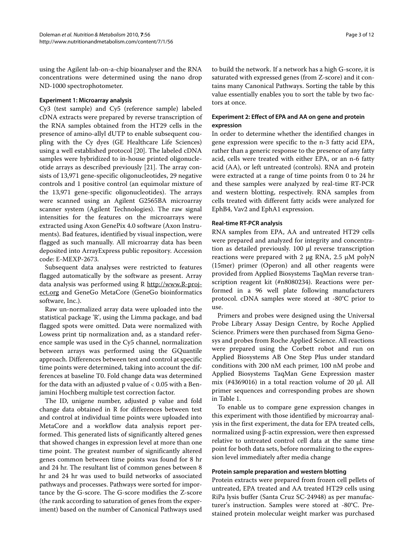using the Agilent lab-on-a-chip bioanalyser and the RNA concentrations were determined using the nano drop ND-1000 spectrophotometer.

#### **Experiment 1: Microarray analysis**

Cy3 (test sample) and Cy5 (reference sample) labeled cDNA extracts were prepared by reverse transcription of the RNA samples obtained from the HT29 cells in the presence of amino-allyl dUTP to enable subsequent coupling with the Cy dyes (GE Healthcare Life Sciences) using a well established protocol [[20\]](#page-10-13). The labeled cDNA samples were hybridized to in-house printed oligonucleotide arrays as described previously [[21](#page-10-14)]. The array consists of 13,971 gene-specific oligonucleotides, 29 negative controls and 1 positive control (an equimolar mixture of the 13,971 gene-specific oligonucleotides). The arrays were scanned using an Agilent G2565BA microarray scanner system (Agilent Technologies). The raw signal intensities for the features on the microarrays were extracted using Axon GenePix 4.0 software (Axon Instruments). Bad features, identified by visual inspection, were flagged as such manually. All microarray data has been deposited into ArrayExpress public repository. Accession code: E-MEXP-2673.

Subsequent data analyses were restricted to features flagged automatically by the software as present. Array data analysis was performed using R [http://www.R-proj](http://www.R-project.org)[ect.org](http://www.R-project.org) and GeneGo MetaCore (GeneGo bioinformatics software, Inc.).

Raw un-normalized array data were uploaded into the statistical package 'R', using the Limma package, and bad flagged spots were omitted. Data were normalized with Lowess print tip normalization and, as a standard reference sample was used in the Cy5 channel, normalization between arrays was performed using the GQuantile approach. Differences between test and control at specific time points were determined, taking into account the differences at baseline T0. Fold change data was determined for the data with an adjusted p value of  $< 0.05$  with a Benjamini Hochberg multiple test correction factor.

The ID, unigene number, adjusted p value and fold change data obtained in R for differences between test and control at individual time points were uploaded into MetaCore and a workflow data analysis report performed. This generated lists of significantly altered genes that showed changes in expression level at more than one time point. The greatest number of significantly altered genes common between time points was found for 8 hr and 24 hr. The resultant list of common genes between 8 hr and 24 hr was used to build networks of associated pathways and processes. Pathways were sorted for importance by the G-score. The G-score modifies the Z-score (the rank according to saturation of genes from the experiment) based on the number of Canonical Pathways used

to build the network. If a network has a high G-score, it is saturated with expressed genes (from Z-score) and it contains many Canonical Pathways. Sorting the table by this value essentially enables you to sort the table by two factors at once.

# **Experiment 2: Effect of EPA and AA on gene and protein expression**

In order to determine whether the identified changes in gene expression were specific to the n-3 fatty acid EPA, rather than a generic response to the presence of any fatty acid, cells were treated with either EPA, or an n-6 fatty acid (AA), or left untreated (controls). RNA and protein were extracted at a range of time points from 0 to 24 hr and these samples were analyzed by real-time RT-PCR and western blotting, respectively. RNA samples from cells treated with different fatty acids were analyzed for EphB4, Vav2 and EphA1 expression.

#### **Real-time RT-PCR analysis**

RNA samples from EPA, AA and untreated HT29 cells were prepared and analyzed for integrity and concentration as detailed previously. 100 μl reverse transcription reactions were prepared with 2 μg RNA, 2.5 μM polyN (15mer) primer (Operon) and all other reagents were provided from Applied Biosystems TaqMan reverse transcription reagent kit (#n8080234). Reactions were performed in a 96 well plate following manufacturers protocol. cDNA samples were stored at -80°C prior to use.

Primers and probes were designed using the Universal Probe Library Assay Design Centre, by Roche Applied Science. Primers were then purchased from Sigma Genosys and probes from Roche Applied Science. All reactions were prepared using the Corbett robot and run on Applied Biosystems AB One Step Plus under standard conditions with 200 nM each primer, 100 nM probe and Applied Biosystems TaqMan Gene Expression master mix (#4369016) in a total reaction volume of 20 μl. All primer sequences and corresponding probes are shown in Table 1.

To enable us to compare gene expression changes in this experiment with those identified by microarray analysis in the first experiment, the data for EPA treated cells, normalized using β-actin expression, were then expressed relative to untreated control cell data at the same time point for both data sets, before normalizing to the expression level immediately after media change

# **Protein sample preparation and western blotting**

Protein extracts were prepared from frozen cell pellets of untreated, EPA treated and AA treated HT29 cells using RiPa lysis buffer (Santa Cruz SC-24948) as per manufacturer's instruction. Samples were stored at -80°C. Prestained protein molecular weight marker was purchased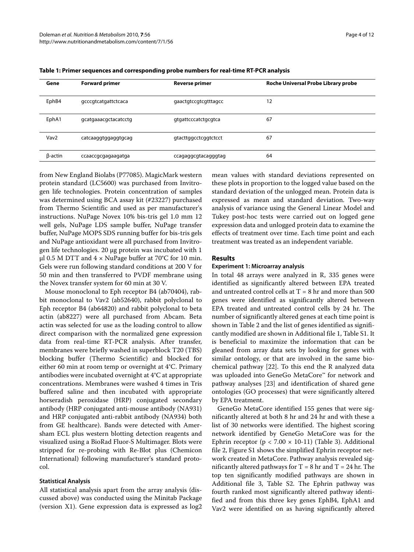| Gene             | <b>Forward primer</b> | <b>Reverse primer</b> | Roche Universal Probe Library probe |
|------------------|-----------------------|-----------------------|-------------------------------------|
| EphB4            | gcccgtcatgattctcaca   | gaactgtccgtcgtttagcc  | 12                                  |
| EphA1            | gcatgaaacgctacatcctg  | gtgattcccatctgcgtca   | 67                                  |
| Vav <sub>2</sub> | catcaaggtggaggtgcag   | gtacttggcctcggtctcct  | 67                                  |
| β-actin          | ccaaccgcgagaagatga    | ccagaggcgtacagggtag   | 64                                  |

**Table 1: Primer sequences and corresponding probe numbers for real-time RT-PCR analysis**

from New England Biolabs (P77085). MagicMark western protein standard (LC5600) was purchased from Invitrogen life technologies. Protein concentration of samples was determined using BCA assay kit (#23227) purchased from Thermo Scientific and used as per manufacturer's instructions. NuPage Novex 10% bis-tris gel 1.0 mm 12 well gels, NuPage LDS sample buffer, NuPage transfer buffer, NuPage MOPS SDS running buffer for bis-tris gels and NuPage antioxidant were all purchased from Invitrogen life technologies. 20 μg protein was incubated with 1 μl 0.5 M DTT and  $4 \times$  NuPage buffer at 70°C for 10 min. Gels were run following standard conditions at 200 V for 50 min and then transferred to PVDF membrane using the Novex transfer system for 60 min at 30 V.

Mouse monoclonal to Eph receptor B4 (ab70404), rabbit monoclonal to Vav2 (ab52640), rabbit polyclonal to Eph receptor B4 (ab64820) and rabbit polyclonal to beta actin (ab8227) were all purchased from Abcam. Beta actin was selected for use as the loading control to allow direct comparison with the normalized gene expression data from real-time RT-PCR analysis. After transfer, membranes were briefly washed in superblock T20 (TBS) blocking buffer (Thermo Scientific) and blocked for either 60 min at room temp or overnight at 4°C. Primary antibodies were incubated overnight at 4°C at appropriate concentrations. Membranes were washed 4 times in Tris buffered saline and then incubated with appropriate horseradish peroxidase (HRP) conjugated secondary antibody (HRP conjugated anti-mouse antibody (NA931) and HRP conjugated anti-rabbit antibody (NA934) both from GE healthcare). Bands were detected with Amersham ECL plus western blotting detection reagents and visualized using a BioRad Fluor-S Multimager. Blots were stripped for re-probing with Re-Blot plus (Chemicon International) following manufacturer's standard protocol.

#### **Statistical Analysis**

All statistical analysis apart from the array analysis (discussed above) was conducted using the Minitab Package (version X1). Gene expression data is expressed as log2

mean values with standard deviations represented on these plots in proportion to the logged value based on the standard deviation of the unlogged mean. Protein data is expressed as mean and standard deviation. Two-way analysis of variance using the General Linear Model and Tukey post-hoc tests were carried out on logged gene expression data and unlogged protein data to examine the effects of treatment over time. Each time point and each treatment was treated as an independent variable.

## **Results**

#### **Experiment 1: Microarray analysis**

In total 48 arrays were analyzed in R, 335 genes were identified as significantly altered between EPA treated and untreated control cells at  $T = 8$  hr and more than 500 genes were identified as significantly altered between EPA treated and untreated control cells by 24 hr. The number of significantly altered genes at each time point is shown in Table [2](#page-4-0) and the list of genes identified as significantly modified are shown in Additional file [1](#page-9-4), Table S1. It is beneficial to maximize the information that can be gleaned from array data sets by looking for genes with similar ontology, or that are involved in the same biochemical pathway [[22](#page-10-15)]. To this end the R analyzed data was uploaded into GeneGo MetaCore™ for network and pathway analyses [[23\]](#page-10-16) and identification of shared gene ontologies (GO processes) that were significantly altered by EPA treatment.

GeneGo MetaCore identified 155 genes that were significantly altered at both 8 hr and 24 hr and with these a list of 30 networks were identified. The highest scoring network identified by GeneGo MetaCore was for the Ephrin receptor ( $p < 7.00 \times 10-11$ ) (Table 3). Additional file [2,](#page-9-5) Figure S1 shows the simplified Ephrin receptor network created in MetaCore. Pathway analysis revealed significantly altered pathways for  $T = 8$  hr and  $T = 24$  hr. The top ten significantly modified pathways are shown in Additional file [3](#page-9-6), Table S2. The Ephrin pathway was fourth ranked most significantly altered pathway identified and from this three key genes EphB4, EphA1 and Vav2 were identified on as having significantly altered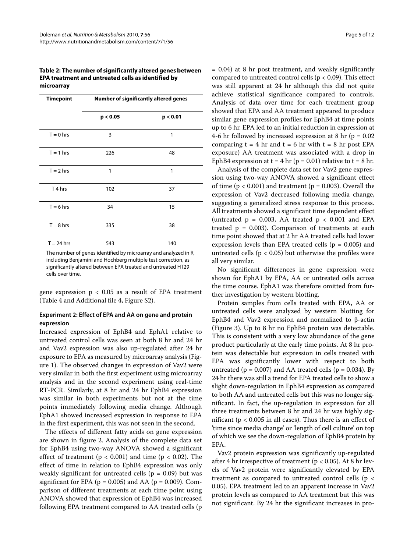<span id="page-4-0"></span>**Table 2: The number of significantly altered genes between EPA treatment and untreated cells as identified by microarray**

| <b>Timepoint</b>   | <b>Number of significantly altered genes</b> |          |  |
|--------------------|----------------------------------------------|----------|--|
|                    | p < 0.05                                     | p < 0.01 |  |
| $T = 0$ hrs        | 3                                            | 1        |  |
| $T = 1$ hrs        | 226                                          | 48       |  |
| $T = 2$ hrs        | 1                                            | 1        |  |
| T <sub>4</sub> hrs | 102                                          | 37       |  |
| $T = 6$ hrs        | 34                                           | 15       |  |
| $T = 8$ hrs        | 335                                          | 38       |  |
| $T = 24$ hrs       | 543                                          | 140      |  |

The number of genes identified by microarray and analyzed in R, including Benjamini and Hochberg multiple test correction, as significantly altered between EPA treated and untreated HT29 cells over time.

gene expression  $p < 0.05$  as a result of EPA treatment (Table 4 and Additional file [4,](#page-9-7) Figure S2).

# **Experiment 2: Effect of EPA and AA on gene and protein expression**

Increased expression of EphB4 and EphA1 relative to untreated control cells was seen at both 8 hr and 24 hr and Vav2 expression was also up-regulated after 24 hr exposure to EPA as measured by microarray analysis (Figure [1\)](#page-7-0). The observed changes in expression of Vav2 were very similar in both the first experiment using microarray analysis and in the second experiment using real-time RT-PCR. Similarly, at 8 hr and 24 hr EphB4 expression was similar in both experiments but not at the time points immediately following media change. Although EphA1 showed increased expression in response to EPA in the first experiment, this was not seen in the second.

The effects of different fatty acids on gene expression are shown in figure [2](#page-7-1). Analysis of the complete data set for EphB4 using two-way ANOVA showed a significant effect of treatment ( $p < 0.001$ ) and time ( $p < 0.02$ ). The effect of time in relation to EphB4 expression was only weakly significant for untreated cells ( $p = 0.09$ ) but was significant for EPA ( $p = 0.005$ ) and AA ( $p = 0.009$ ). Comparison of different treatments at each time point using ANOVA showed that expression of EphB4 was increased following EPA treatment compared to AA treated cells (p

= 0.04) at 8 hr post treatment, and weakly significantly compared to untreated control cells ( $p < 0.09$ ). This effect was still apparent at 24 hr although this did not quite achieve statistical significance compared to controls. Analysis of data over time for each treatment group showed that EPA and AA treatment appeared to produce similar gene expression profiles for EphB4 at time points up to 6 hr. EPA led to an initial reduction in expression at 4-6 hr followed by increased expression at 8 hr ( $p = 0.02$ ) comparing  $t = 4$  hr and  $t = 6$  hr with  $t = 8$  hr post EPA exposure) AA treatment was associated with a drop in EphB4 expression at  $t = 4$  hr (p = 0.01) relative to  $t = 8$  hr.

Analysis of the complete data set for Vav2 gene expression using two-way ANOVA showed a significant effect of time ( $p < 0.001$ ) and treatment ( $p = 0.003$ ). Overall the expression of Vav2 decreased following media change, suggesting a generalized stress response to this process. All treatments showed a significant time dependent effect (untreated  $p = 0.003$ , AA treated  $p < 0.001$  and EPA treated  $p = 0.003$ ). Comparison of treatments at each time point showed that at 2 hr AA treated cells had lower expression levels than EPA treated cells ( $p = 0.005$ ) and untreated cells ( $p < 0.05$ ) but otherwise the profiles were all very similar.

No significant differences in gene expression were shown for EphA1 by EPA, AA or untreated cells across the time course. EphA1 was therefore omitted from further investigation by western blotting.

Protein samples from cells treated with EPA, AA or untreated cells were analyzed by western blotting for EphB4 and Vav2 expression and normalized to β-actin (Figure [3\)](#page-8-0). Up to 8 hr no EphB4 protein was detectable. This is consistent with a very low abundance of the gene product particularly at the early time points. At 8 hr protein was detectable but expression in cells treated with EPA was significantly lower with respect to both untreated ( $p = 0.007$ ) and AA treated cells ( $p = 0.034$ ). By 24 hr there was still a trend for EPA treated cells to show a slight down-regulation in EphB4 expression as compared to both AA and untreated cells but this was no longer significant. In fact, the up-regulation in expression for all three treatments between 8 hr and 24 hr was highly significant (p < 0.005 in all cases). Thus there is an effect of 'time since media change' or 'length of cell culture' on top of which we see the down-regulation of EphB4 protein by EPA.

Vav2 protein expression was significantly up-regulated after 4 hr irrespective of treatment ( $p < 0.05$ ). At 8 hr levels of Vav2 protein were significantly elevated by EPA treatment as compared to untreated control cells (p < 0.05). EPA treatment led to an apparent increase in Vav2 protein levels as compared to AA treatment but this was not significant. By 24 hr the significant increases in pro-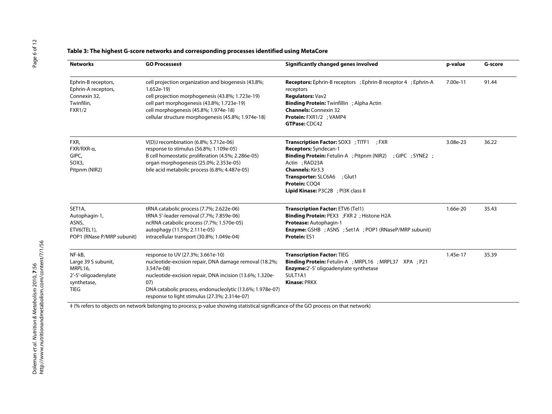# **Table 3: The highest G-score networks and corresponding processes identified using MetaCore**

| <b>Networks</b>                                                                                | <b>GO Processes‡</b>                                                                                                                                                                                                                                                                       | Significantly changed genes involved                                                                                                                                                                                                                                                  | p-value  | G-score |
|------------------------------------------------------------------------------------------------|--------------------------------------------------------------------------------------------------------------------------------------------------------------------------------------------------------------------------------------------------------------------------------------------|---------------------------------------------------------------------------------------------------------------------------------------------------------------------------------------------------------------------------------------------------------------------------------------|----------|---------|
| Ephrin-B receptors,<br>Ephrin-A receptors,<br>Connexin 32,<br>Twinfilin,<br><b>FXR1/2</b>      | cell projection organization and biogenesis (43.8%;<br>$1.652e-19$<br>cell projection morphogenesis (43.8%; 1.723e-19)<br>cell part morphogenesis (43.8%; 1.723e-19)<br>cell morphogenesis (45.8%; 1.974e-18)<br>cellular structure morphogenesis (45.8%; 1.974e-18)                       | <b>Receptors:</b> Ephrin-B receptors ; Ephrin-B receptor 4 ; Ephrin-A<br>receptors<br>Regulators: Vav2<br><b>Binding Protein: Twinfillin</b> ; Alpha Actin<br><b>Channels: Connexin 32</b><br>Protein: FXR1/2 ; VAMP4<br>GTPase: CDC42                                                | 7.00e-11 | 91.44   |
| FXR,<br>FXR/RXR-a,<br>GIPC,<br>SOX3,<br>Pitpnm (NIR2)                                          | $V(D)$ J recombination (6.8%; 5.712e-06)<br>response to stimulus (56.8%; 1.109e-05)<br>B cell homeostatic proliferation (4.5%; 2.286e-05)<br>organ morphogenesis (25.0%; 2.353e-05)<br>bile acid metabolic process (6.8%; 4.487e-05)                                                       | <b>Transcription Factor: SOX3 ; TITF1 ; FXR</b><br>Receptors: Syndecan-1<br><b>Binding Protein:</b> Fetulin-A ; Pitpnm (NIR2) ; GIPC ; SYNE2 ;<br>Actin ; RAD23A<br><b>Channels: Kir3.3</b><br>Transporter: SLC6A6<br>; Glut1<br>Protein: COO4<br>Lipid Kinase: P3C2B ; PI3K class II | 3.08e-23 | 36.22   |
| SET1A,<br>Autophagin-1,<br>ASNS,<br>ETV6(TEL1),<br>POP1 (RNase P/MRP subunit)                  | tRNA catabolic process (7.7%; 2.622e-06)<br>tRNA 5'-leader removal (7.7%; 7.859e-06)<br>ncRNA catabolic process (7.7%; 1.570e-05)<br>autophagy (11.5%; 2.111e-05)<br>intracellular transport (30.8%; 1.049e-04)                                                                            | <b>Transcription Factor: ETV6 (Tel1)</b><br><b>Binding Protein: PEX3</b> ; FXR 2 ; Histone H2A<br>Protease: Autophagin-1<br><b>Enzyme:</b> GSHB ; ASNS ; Set1A ; POP1 (RNaseP/MRP subunit)<br><b>Protein: ES1</b>                                                                     | 1.66e-20 | 35.43   |
| NF-kB,<br>Large 39 S subunit,<br>MRPL16,<br>2'-5'-oligoadenylate<br>synthetase,<br><b>TIEG</b> | response to UV (27.3%; 3.661e-10)<br>nucleotide-excision repair, DNA damage removal (18.2%;<br>3.547e-08)<br>nucleotide-excision repair, DNA incision (13.6%; 1.320e-<br>07)<br>DNA catabolic process, endonucleolytic (13.6%; 1.978e-07)<br>response to light stimulus (27.3%; 2.314e-07) | <b>Transcription Factor: TIEG</b><br><b>Binding Protein:</b> Fetulin-A ; MRPL16 ; MRPL37 XPA ; P21<br><b>Enzyme:</b> 2'-5' oligoadenylate synthetase<br>SULT1A1<br><b>Kinase: PRKX</b>                                                                                                | 1.45e-17 | 35.39   |

‡ (% refers to objects on network belonging to process; p-value showing statistical significance of the GO process on that network)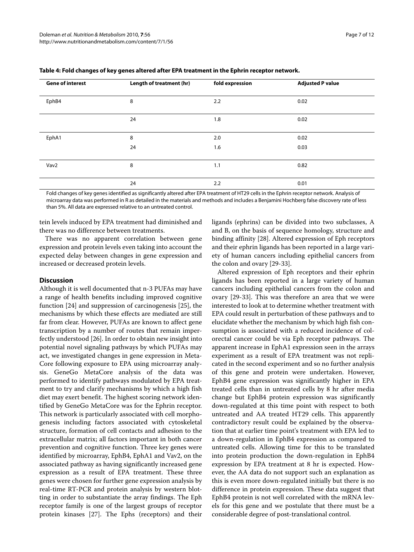| <b>Gene of interest</b> | Length of treatment (hr) | fold expression | <b>Adjusted P value</b> |
|-------------------------|--------------------------|-----------------|-------------------------|
| EphB4                   | 8                        | 2.2             | 0.02                    |
|                         | 24                       | 1.8             | 0.02                    |
| EphA1                   | 8                        | 2.0             | 0.02                    |
|                         | 24                       | 1.6             | 0.03                    |
| Vav2                    | 8                        | 1.1             | 0.82                    |
|                         | 24                       | 2.2             | 0.01                    |

|  | Table 4: Fold changes of key genes altered after EPA treatment in the Ephrin receptor network. |
|--|------------------------------------------------------------------------------------------------|
|  |                                                                                                |

Fold changes of key genes identified as significantly altered after EPA treatment of HT29 cells in the Ephrin receptor network. Analysis of microarray data was performed in R as detailed in the materials and methods and includes a Benjamini Hochberg false discovery rate of less than 5%. All data are expressed relative to an untreated control.

tein levels induced by EPA treatment had diminished and there was no difference between treatments.

There was no apparent correlation between gene expression and protein levels even taking into account the expected delay between changes in gene expression and increased or decreased protein levels.

#### **Discussion**

Although it is well documented that n-3 PUFAs may have a range of health benefits including improved cognitive function [\[24](#page-10-17)] and suppression of carcinogenesis [\[25](#page-10-18)], the mechanisms by which these effects are mediated are still far from clear. However, PUFAs are known to affect gene transcription by a number of routes that remain imperfectly understood [\[26](#page-10-19)]. In order to obtain new insight into potential novel signaling pathways by which PUFAs may act, we investigated changes in gene expression in Meta-Core following exposure to EPA using microarray analysis. GeneGo MetaCore analysis of the data was performed to identify pathways modulated by EPA treatment to try and clarify mechanisms by which a high fish diet may exert benefit. The highest scoring network identified by GeneGo MetaCore was for the Ephrin receptor. This network is particularly associated with cell morphogenesis including factors associated with cytoskeletal structure, formation of cell contacts and adhesion to the extracellular matrix; all factors important in both cancer prevention and cognitive function. Three key genes were identified by microarray, EphB4, EphA1 and Vav2, on the associated pathway as having significantly increased gene expression as a result of EPA treatment. These three genes were chosen for further gene expression analysis by real-time RT-PCR and protein analysis by western blotting in order to substantiate the array findings. The Eph receptor family is one of the largest groups of receptor protein kinases [[27\]](#page-10-20). The Ephs (receptors) and their ligands (ephrins) can be divided into two subclasses, A and B, on the basis of sequence homology, structure and binding affinity [[28](#page-10-21)]. Altered expression of Eph receptors and their ephrin ligands has been reported in a large variety of human cancers including epithelial cancers from the colon and ovary [[29-](#page-10-22)[33](#page-10-23)].

Altered expression of Eph receptors and their ephrin ligands has been reported in a large variety of human cancers including epithelial cancers from the colon and ovary [\[29](#page-10-22)-[33\]](#page-10-23). This was therefore an area that we were interested to look at to determine whether treatment with EPA could result in perturbation of these pathways and to elucidate whether the mechanism by which high fish consumption is associated with a reduced incidence of colorectal cancer could be via Eph receptor pathways. The apparent increase in EphA1 expression seen in the arrays experiment as a result of EPA treatment was not replicated in the second experiment and so no further analysis of this gene and protein were undertaken. However, EphB4 gene expression was significantly higher in EPA treated cells than in untreated cells by 8 hr after media change but EphB4 protein expression was significantly down-regulated at this time point with respect to both untreated and AA treated HT29 cells. This apparently contradictory result could be explained by the observation that at earlier time point's treatment with EPA led to a down-regulation in EphB4 expression as compared to untreated cells. Allowing time for this to be translated into protein production the down-regulation in EphB4 expression by EPA treatment at 8 hr is expected. However, the AA data do not support such an explanation as this is even more down-regulated initially but there is no difference in protein expression. These data suggest that EphB4 protein is not well correlated with the mRNA levels for this gene and we postulate that there must be a considerable degree of post-translational control.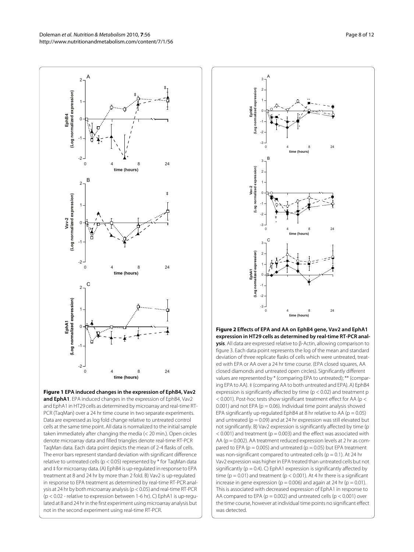Doleman et al. Nutrition & Metabolism 2010, **7**:56 http://www.nutritionandmetabolism.com/content/7/1/56

 $\overline{2}$ 

<span id="page-7-0"></span>

and EphA1 in HT29 cells as determined by microarray and real-time RT-PCR (TaqMan) over a 24 hr time course in two separate experiments. Data are expressed as log fold change relative to untreated control cells at the same time point. All data is normalized to the initial sample taken immediately after changing the media (< 20 min.). Open circles denote microarray data and filled triangles denote real-time RT-PCR TaqMan data. Each data point depicts the mean of 2-4 flasks of cells. The error bars represent standard deviation with significant difference relative to untreated cells (p < 0.05) represented by \* for TaqMan data and ‡ for microarray data. (A) EphB4 is up-regulated in response to EPA treatment at 8 and 24 hr by more than 2 fold. B) Vav2 is up-regulated in response to EPA treatment as determined by real-time RT-PCR analysis at 24 hr by both microarray analysis (p < 0.05) and real-time RT-PCR (p < 0.02 - relative to expression between 1-6 hr). C) EphA1 is up-regulated at 8 and 24 hr in the first experiment using microarray analysis but not in the second experiment using real-time RT-PCR.

<span id="page-7-1"></span>

**Figure 2 Effects of EPA and AA on EphB4 gene, Vav2 and EphA1 expression in HT29 cells as determined by real-time RT-PCR analysis**. All data are expressed relative to β-Actin, allowing comparison to figure 3. Each data point represents the log of the mean and standard deviation of three replicate flasks of cells which were untreated, treated with EPA or AA over a 24 hr time course. (EPA closed squares, AA closed diamonds and untreated open circles). Significantly different values are represented by \* (comparing EPA to untreated); \*\* (comparing EPA to AA). ‡ (comparing AA to both untreated and EPA). A) EphB4 expression is significantly affected by time ( $p < 0.02$ ) and treatment  $p$ < 0.001). Post-hoc tests show significant treatment effect for AA (p < 0.001) and not EPA ( $p = 0.06$ ). Individual time point analysis showed EPA significantly up-regulated EphB4 at 8 hr relative to AA ( $p = 0.05$ ) and untreated ( $p = 0.09$ ) and at 24 hr expression was still elevated but not significantly. B) Vav2 expression is significantly affected by time (p  $<$  0.001) and treatment (p = 0.003) and the effect was associated with AA (p = 0.002). AA treatment reduced expression levels at 2 hr as compared to EPA ( $p = 0.005$ ) and untreated ( $p = 0.05$ ) but EPA treatment was non-significant compared to untreated cells ( $p = 0.1$ ). At 24 hr Vav2 expression was higher in EPA treated than untreated cells but not significantly ( $p = 0.4$ ). C) EphA1 expression is significantly affected by time ( $p = 0.01$ ) and treatment ( $p < 0.001$ ). At 4 hr there is a significant increase in gene expression ( $p = 0.006$ ) and again at 24 hr ( $p = 0.01$ ). This is associated with decreased expression of EphA1 in response to AA compared to EPA ( $p = 0.002$ ) and untreated cells ( $p < 0.001$ ) over the time course, however at individual time points no significant effect was detected.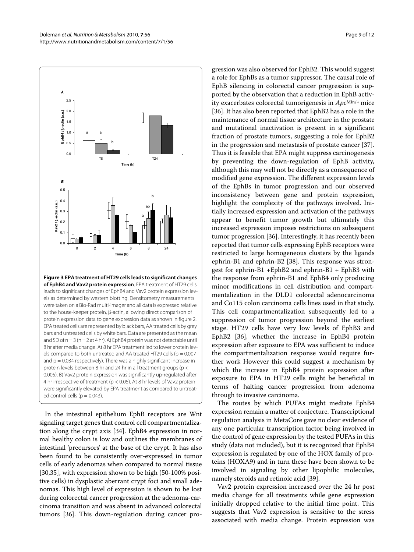<span id="page-8-0"></span>

**Figure 3 EPA treatment of HT29 cells leads to significant changes of EphB4 and Vav2 protein expression**. EPA treatment of HT29 cells leads to significant changes of EphB4 and Vav2 protein expression levels as determined by western blotting. Densitometry measurements were taken on a Bio-Rad multi-imager and all data is expressed relative to the house-keeper protein, β-actin, allowing direct comparison of protein expression data to gene expression data as shown in figure 2. EPA treated cells are represented by black bars, AA treated cells by grey bars and untreated cells by white bars. Data are presented as the mean and SD of  $n = 3$  ( $n = 2$  at 4 hr). A) EphB4 protein was not detectable until 8 hr after media change. At 8 hr EPA treatment led to lower protein levels compared to both untreated and AA treated HT29 cells ( $p = 0.007$ ) and  $p = 0.034$  respectively). There was a highly significant increase in protein levels between 8 hr and 24 hr in all treatment groups (p < 0.005). B) Vav2 protein expression was significantly up-regulated after 4 hr irrespective of treatment (p < 0.05). At 8 hr levels of Vav2 protein were significantly elevated by EPA treatment as compared to untreated control cells ( $p = 0.043$ ).

In the intestinal epithelium EphB receptors are Wnt signaling target genes that control cell compartmentalization along the crypt axis [[34\]](#page-10-24). EphB4 expression in normal healthy colon is low and outlines the membranes of intestinal 'precursors' at the base of the crypt. It has also been found to be consistently over-expressed in tumor cells of early adenomas when compared to normal tissue [[30,](#page-10-25)[35\]](#page-10-26), with expression shown to be high (50-100% positive cells) in dysplastic aberrant crypt foci and small adenomas. This high level of expression is shown to be lost during colorectal cancer progression at the adenoma-carcinoma transition and was absent in advanced colorectal tumors [[36\]](#page-10-27). This down-regulation during cancer pro-

gression was also observed for EphB2. This would suggest a role for EphBs as a tumor suppressor. The causal role of EphB silencing in colorectal cancer progression is supported by the observation that a reduction in EphB activity exacerbates colorectal tumorigenesis in *Apc*Min/+ mice [[36\]](#page-10-27). It has also been reported that EphB2 has a role in the maintenance of normal tissue architecture in the prostate and mutational inactivation is present in a significant fraction of prostate tumors, suggesting a role for EphB2 in the progression and metastasis of prostate cancer [\[37](#page-10-28)]. Thus it is feasible that EPA might suppress carcinogenesis by preventing the down-regulation of EphB activity, although this may well not be directly as a consequence of modified gene expression. The different expression levels of the EphBs in tumor progression and our observed inconsistency between gene and protein expression, highlight the complexity of the pathways involved. Initially increased expression and activation of the pathways appear to benefit tumor growth but ultimately this increased expression imposes restrictions on subsequent tumor progression [\[36](#page-10-27)]. Interestingly, it has recently been reported that tumor cells expressing EphB receptors were restricted to large homogeneous clusters by the ligands ephrin-B1 and ephrin-B2 [[38\]](#page-10-29). This response was strongest for ephrin-B1 +EphB2 and ephrin-B1 + EphB3 with the response from ephrin-B1 and EphB4 only producing minor modifications in cell distribution and compartmentalization in the DLD1 colorectal adenocarcinoma and Co115 colon carcinoma cells lines used in that study. This cell compartmentalization subsequently led to a suppression of tumor progression beyond the earliest stage. HT29 cells have very low levels of EphB3 and EphB2 [[36\]](#page-10-27), whether the increase in EphB4 protein expression after exposure to EPA was sufficient to induce the compartmentalization response would require further work However this could suggest a mechanism by which the increase in EphB4 protein expression after exposure to EPA in HT29 cells might be beneficial in terms of halting cancer progression from adenoma through to invasive carcinoma.

The routes by which PUFAs might mediate EphB4 expression remain a matter of conjecture. Transcriptional regulation analysis in MetaCore gave no clear evidence of any one particular transcription factor being involved in the control of gene expression by the tested PUFAs in this study (data not included), but it is recognized that EphB4 expression is regulated by one of the HOX family of proteins (HOXA9) and in turn these have been shown to be involved in signaling by other lipophilic molecules, namely steroids and retinoic acid [[39\]](#page-10-30).

Vav2 protein expression increased over the 24 hr post media change for all treatments while gene expression initially dropped relative to the initial time point. This suggests that Vav2 expression is sensitive to the stress associated with media change. Protein expression was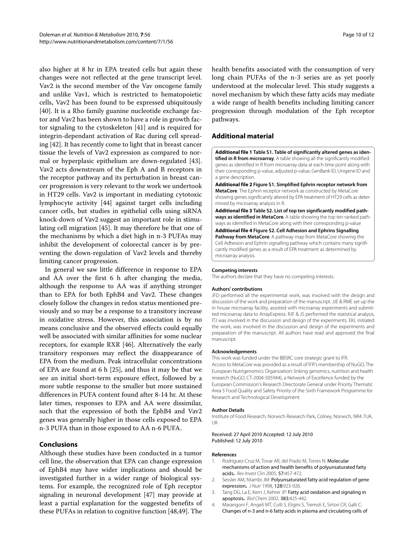also higher at 8 hr in EPA treated cells but again these changes were not reflected at the gene transcript level. Vav2 is the second member of the Vav oncogene family and unlike Vav1, which is restricted to hematopoietic cells, Vav2 has been found to be expressed ubiquitously [[40\]](#page-10-31). It is a Rho family guanine nucleotide exchange factor and Vav2 has been shown to have a role in growth factor signaling to the cytoskeleton [[41\]](#page-10-32) and is required for integrin-dependant activation of Rac during cell spreading [[42\]](#page-10-33). It has recently come to light that in breast cancer tissue the levels of Vav2 expression as compared to normal or hyperplasic epithelium are down-regulated [\[43](#page-10-34)]. Vav2 acts downstream of the Eph A and B receptors in the receptor pathway and its perturbation in breast cancer progression is very relevant to the work we undertook in HT29 cells. Vav2 is important in mediating cytotoxic lymphocyte activity [\[44\]](#page-10-35) against target cells including cancer cells, but studies in epithelial cells using siRNA knock-down of Vav2 suggest an important role in stimulating cell migration [[45](#page-10-36)]. It may therefore be that one of the mechanisms by which a diet high in n-3 PUFAs may inhibit the development of colorectal cancer is by preventing the down-regulation of Vav2 levels and thereby limiting cancer progression.

In general we saw little difference in response to EPA and AA over the first 6 h after changing the media, although the response to AA was if anything stronger than to EPA for both EphB4 and Vav2. These changes closely follow the changes in redox status mentioned previously and so may be a response to a transitory increase in oxidative stress. However, this association is by no means conclusive and the observed effects could equally well be associated with similar affinities for some nuclear receptors, for example RXR [\[46](#page-10-37)]. Alternatively the early transitory responses may reflect the disappearance of EPA from the medium. Peak intracellular concentrations of EPA are found at 6 h [\[25\]](#page-10-18), and thus it may be that we see an initial short-term exposure effect, followed by a more subtle response to the smaller but more sustained differences in PUFA content found after 8-14 hr. At these later times, responses to EPA and AA were dissimilar, such that the expression of both the EphB4 and Vav2 genes was generally higher in those cells exposed to EPA n-3 PUFA than in those exposed to AA n-6 PUFA.

# **Conclusions**

Although these studies have been conducted in a tumor cell line, the observation that EPA can change expression of EphB4 may have wider implications and should be investigated further in a wider range of biological systems. For example, the recognized role of Eph receptor signaling in neuronal development [[47\]](#page-11-0) may provide at least a partial explanation for the suggested benefits of these PUFAs in relation to cognitive function [[48,](#page-11-1)[49\]](#page-11-2). The health benefits associated with the consumption of very long chain PUFAs of the n-3 series are as yet poorly understood at the molecular level. This study suggests a novel mechanism by which these fatty acids may mediate a wide range of health benefits including limiting cancer progression through modulation of the Eph receptor pathways.

# **Additional material**

<span id="page-9-4"></span>**[Additional file 1](http://www.biomedcentral.com/content/supplementary/1743-7075-7-56-S1.XLS) Table S1. Table of significantly altered genes as identified in R from microarray**. A table showing all the significantly modified genes as identified in R from microarray data at each time point along with their corresponding p-value, adjusted p-value, GenBank ID, Unigene ID and a gene description.

<span id="page-9-5"></span>**[Additional file 2](http://www.biomedcentral.com/content/supplementary/1743-7075-7-56-S2.PDF) Figure S1. Simplified Ephrin receptor network from MetaCore**. The Ephrin receptor network as constructed by MetaCore showing genes significantly altered by EPA treatment of HT29 cells as determined by microarray analysis in R.

<span id="page-9-6"></span>**[Additional file 3](http://www.biomedcentral.com/content/supplementary/1743-7075-7-56-S3.PDF) Table S2. List of top ten significantly modified pathways as identified in MetaCore**. A table showing the top ten ranked pathways as identified in MetaCore along with their corresponding p-value

<span id="page-9-7"></span>**[Additional file 4](http://www.biomedcentral.com/content/supplementary/1743-7075-7-56-S4.PDF) Figure S2. Cell Adhesion and Ephrins Signalling Pathway from MetaCore**. A pathway map from MetaCore showing the Cell Adhesion and Ephrin signalling pathway which contains many significantly modified genes as a result of EPA treatment as determined by microarray analysis.

#### **Competing interests**

The authors declare that they have no competing interests.

#### **Authors' contributions**

JFD performed all the experimental work, was involved with the design and discussion of the work and preparation of the manuscript. JJE & RME set up the in house microarray facility, assisted with microarray experiments and submitted microarray data to ArrayExpress. RJF & JS performed the statistical analysis, ITJ was involved in the discussion and design of the experiments. EKL initiated the work, was involved in the discussion and design of the experiments and preparation of the manuscript. All authors have read and approved the final manuscript.

#### **Acknowledgements**

This work was funded under the BBSRC core strategic grant to IFR. Access to MetaCore was provided as a result of IFR's membership of NuGO, The European Nutrigenomics Organization: linking genomics, nutrition and health research (NuGO, CT-2004-505944), a Network of Excellence funded by the European Commission's Research Directorate General under Priority Thematic Area 5 Food Quality and Safety Priority of the Sixth Framework Programme for Research and Technological Development.

#### **Author Details**

Institute of Food Research, Norwich Research Park, Colney, Norwich, NR4 7UA, UK

#### Received: 27 April 2010 Accepted: 12 July 2010 Published: 12 July 2010

#### **References**

- <span id="page-9-0"></span>1. Rodriguez-Cruz M, Tovar AR, del Prado M, Torres N: Molecular mechanisms of action and health benefits of polyunsaturated fatty acids**.** Rev Invest Clin 2005, 57:457-472.
- <span id="page-9-1"></span>2. Sessler AM, Ntambi JM: Polyunsaturated fatty acid regulation of gene expression**.** J Nutr 1998, 128:923-926.
- <span id="page-9-2"></span>3. Tang DG, La E, Kern J, Kehrer JP: Fatty acid oxidation and signaling in apoptosis**.** Biol Chem 2002, 383:425-442.
- <span id="page-9-3"></span>4. Marangoni F, Angeli MT, Colli S, Eligini S, Tremoli E, Sirtori CR, Galli C: Changes of n-3 and n-6 fatty acids in plasma and circulating cells of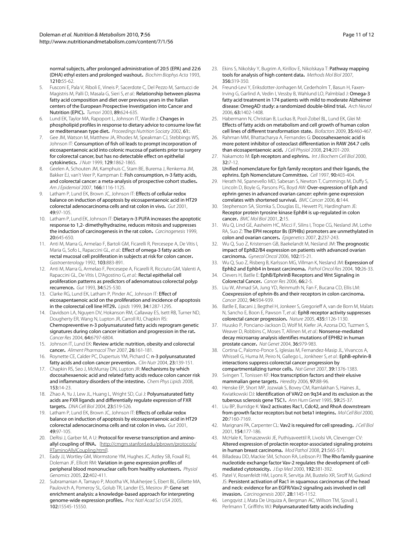normal subjects, after prolonged administration of 20:5 (EPA) and 22:6 (DHA) ethyl esters and prolonged washout**.** Biochim Biophys Acta 1993, 1210:55-62.

- <span id="page-10-0"></span>5. Fusconi E, Pala V, Riboli E, Vineis P, Sacerdote C, Del Pezzo M, Santucci de Magistris M, Palli D, Masala G, Sieri S, et al.: Relationship between plasma fatty acid composition and diet over previous years in the Italian centers of the European Prospective Investigation into Cancer and Nutrition (EPIC)**.** Tumori 2003, 89:624-635.
- <span id="page-10-1"></span>6. Lund EK, Taylor MA, Rapoport L, Johnson IT, Wardle J: Changes in phospholipid profiles in response to dietary advice to consume low fat or mediterranean type diet**.** Proceedings Nutrition Sociaty 2002, 61:.
- <span id="page-10-2"></span>7. Gee JM, Watson M, Matthew JA, Rhodes M, Speakman CJ, Stebbings WS, Johnson IT: Consumption of fish oil leads to prompt incorporation of eicosapentaenoic acid into colonic mucosa of patients prior to surgery for colorectal cancer, but has no detectable effect on epithelial cytokinetics**.** J Nutr 1999, 129:1862-1865.
- <span id="page-10-3"></span>Geelen A, Schouten JM, Kamphuis C, Stam BE, Burema J, Renkema JM, Bakker EJ, van't Veer P, Kampman E: Fish consumption, n-3 fatty acids, and colorectal cancer: a meta-analysis of prospective cohort studies**.** Am J Epidemiol 2007, 166:1116-1125.
- <span id="page-10-4"></span>9. Latham P, Lund EK, Brown JC, Johnson IT: Effects of cellular redox balance on induction of apoptosis by eicosapentaenoic acid in HT29 colorectal adenocarcinoma cells and rat colon in vivo**[.](http://www.ncbi.nlm.nih.gov/entrez/query.fcgi?cmd=Retrieve&db=PubMed&dopt=Abstract&list_uids=11413117)** Gut 2001, 49:97-105.
- <span id="page-10-5"></span>10. Latham P, Lund EK, Johnson IT: Dietary n-3 PUFA increases the apoptotic response to 1,2- dimethylhydrazine, reduces mitosis and suppresses the induction of carcinogenesis in the rat colon**.** Carcinogenesis 1999, 20:645-650.
- <span id="page-10-6"></span>11. Anti M, Marra G, Armelao F, Bartoli GM, Ficarelli R, Percesepe A, De Vitis I, Maria G, Sofo L, Rapaccini GL, et al.: Effect of omega-3 fatty acids on rectal mucosal cell proliferation in subjects at risk for colon cancer**.** Gastroenterology 1992, 103:883-891.
- <span id="page-10-7"></span>12. Anti M, Marra G, Armelao F, Percesepe A, Ficarelli R, Ricciuto GM, Valenti A, Rapaccini GL, De Vitis I, D'Agostino G, et al.: Rectal epithelial cell proliferation patterns as predictors of adenomatous colorectal polyp recurrence**.** Gut 1993, 34:525-530.
- <span id="page-10-8"></span>13. Clarke RG, Lund EK, Latham P, Pinder AC, Johnson IT: Effect of eicosapentaenoic acid on the proliferation and incidence of apoptosis in the colorectal cell line HT29**.** Lipids 1999, 34:1287-1295.
- <span id="page-10-9"></span>14. Davidson LA, Nguyen DV, Hokanson RM, Callaway ES, Isett RB, Turner ND, Dougherty ER, Wang N, Lupton JR, Carroll RJ, Chapkin RS: Chemopreventive n-3 polyunsaturated fatty acids reprogram genetic signatures during colon cancer initiation and progression in the rat**.** Cancer Res 2004, 64:6797-6804.
- 15. Johnson IT, Lund EK: Review article: nutrition, obesity and colorectal cancer**.** Aliment Pharmacol Ther 2007, 26:161-181.
- 16. Roynette CE, Calder PC, Dupertuis YM, Pichard C: n-3 polyunsaturated fatty acids and colon cancer prevention**.** Clin Nutr 2004, 23:139-151.
- <span id="page-10-10"></span>17. Chapkin RS, Seo J, McMurray DN, Lupton JR: Mechanisms by which docosahexaenoic acid and related fatty acids reduce colon cancer risk and inflammatory disorders of the intestine**.** Chem Phys Lipids 2008, 153:14-23.
- <span id="page-10-11"></span>18. Zhao A, Yu J, Lew JL, Huang L, Wright SD, Cui J; Polyunsaturated fatty acids are FXR ligands and differentially regulate expression of FXR targets**.** DNA Cell Biol 2004, 23:519-526.
- <span id="page-10-12"></span>19. Latham P, Lund EK, Brown JC, Johnson IT: Effects of cellular redox balance on induction of apoptosis by eicosapentaenoic acid in HT29 colorectal adenocarcinoma cells and rat colon in vivo**[.](http://www.ncbi.nlm.nih.gov/entrez/query.fcgi?cmd=Retrieve&db=PubMed&dopt=Abstract&list_uids=11413117)** Gut 2001, 49:97-105.
- <span id="page-10-13"></span>20. DeRisi J, Garber M, A U: Protocol for reverse transcription and amino-allyl coupling of RNA. [\[http://cmgm.stanford.edu/pbrown/protocols/](http://cmgm.stanford.edu/pbrown/protocols/RTaminoAllylCoupling.html) [RTaminoAllylCoupling.html\]](http://cmgm.stanford.edu/pbrown/protocols/RTaminoAllylCoupling.html).
- <span id="page-10-14"></span>21. Eady JJ, Wortley GM, Wormstone YM, Hughes JC, Astley SB, Foxall RJ, Doleman JF, Elliott RM: Variation in gene expression profiles of peripheral blood mononuclear cells from healthy volunteers**.** Physiol Genomics 2005, 22:402-411.
- <span id="page-10-15"></span>22. Subramanian A, Tamayo P, Mootha VK, Mukherjee S, Ebert BL, Gillette MA, Paulovich A, Pomeroy SL, Golub TR, Lander ES, Mesirov JP: Gene set enrichment analysis: a knowledge-based approach for interpreting genome-wide expression profiles**.** Proc Natl Acad Sci USA 2005, 102:15545-15550.
- <span id="page-10-16"></span>23. Ekins S, Nikolsky Y, Bugrim A, Kirillov E, Nikolskaya T: Pathway mapping tools for analysis of high content data**[.](http://www.ncbi.nlm.nih.gov/entrez/query.fcgi?cmd=Retrieve&db=PubMed&dopt=Abstract&list_uids=16988414)** Methods Mol Biol 2007, 356:319-350.
- <span id="page-10-17"></span>24. Freund-Levi Y, Eriksdotter-Jonhagen M, Cederholm T, Basun H, Faxen-Irving G, Garlind A, Vedin I, Vessby B, Wahlund LO, Palmblad J: Omega-3 fatty acid treatment in 174 patients with mild to moderate Alzheimer disease: OmegAD study: a randomized double-blind trial**.** Arch Neurol 2006, 63:1402-1408.
- <span id="page-10-18"></span>25. Habermann N, Christian B, Luckas B, Pool-Zobel BL, Lund EK, Glei M: Effects of fatty acids on metabolism and cell growth of human colon cell lines of different transformation state**.** Biofactors 2009, 35:460-467.
- <span id="page-10-19"></span>26. Rahman MM, Bhattacharya A, Fernandes G: Docosahexaenoic acid is more potent inhibitor of osteoclast differentiation in RAW 264.7 cells than eicosapentaenoic acid**.** J Cell Physiol 2008, 214:201-209.
- <span id="page-10-20"></span>27. Nakamoto M: Eph receptors and ephrins**.** Int J Biochem Cell Biol 2000, 32:7-12.
- <span id="page-10-21"></span>28. Unified nomenclature for Eph family receptors and their ligands, the ephrins. Eph Nomenclature Committee**.** Cell 1997, 90:403-404.
- <span id="page-10-22"></span>29. Herath NI, Spanevello MD, Sabesan S, Newton T, Cummings M, Duffy S, Lincoln D, Boyle G, Parsons PG, Boyd AW: Over-expression of Eph and ephrin genes in advanced ovarian cancer: ephrin gene expression correlates with shortened survival**.** BMC Cancer 2006, 6:144.
- <span id="page-10-25"></span>30. Stephenson SA, Slomka S, Douglas EL, Hewett PJ, Hardingham JE: Receptor protein tyrosine kinase EphB4 is up-regulated in colon cancer**[.](http://www.ncbi.nlm.nih.gov/entrez/query.fcgi?cmd=Retrieve&db=PubMed&dopt=Abstract&list_uids=11801186)** BMC Mol Biol 2001, 2:15.
- 31. Wu Q, Lind GE, Aasheim HC, Micci F, Silins I, Trope CG, Nesland JM, Lothe RA, Suo Z: The EPH receptor Bs (EPHBs) promoters are unmethylated in colon and ovarian cancers**.** Epigenetics 2007, 2:237-243.
- 32. Wu Q, Suo Z, Kristensen GB, Baekelandt M, Nesland JM: The prognostic impact of EphB2/B4 expression on patients with advanced ovarian carcinoma**.** Gynecol Oncol 2006, 102:15-21.
- <span id="page-10-23"></span>33. Wu Q, Suo Z, Risberg B, Karlsson MG, Villman K, Nesland JM: Expression of Ephb2 and Ephb4 in breast carcinoma**.** Pathol Oncol Res 2004, 10:26-33.
- <span id="page-10-24"></span>34. Clevers H, Batlle E: EphB/EphrinB Receptors and Wnt Signaling in Colorectal Cancer**.** Cancer Res 2006, 66:2-5.
- <span id="page-10-26"></span>35. Liu W, Ahmad SA, Jung YD, Reinmuth N, Fan F, Bucana CD, Ellis LM: Coexpression of ephrin-Bs and their receptors in colon carcinoma**.** Cancer 2002, 94:934-939.
- <span id="page-10-27"></span>36. Batlle E, Bacani J, Begthel H, Jonkeer S, Gregorieff A, van de Born M, Malats N, Sancho E, Boon E, Pawson T, et al.: EphB receptor activity suppresses colorectal cancer progression**.** Nature 2005, 435:1126-1130.
- <span id="page-10-28"></span>37. Huusko P, Ponciano-Jackson D, Wolf M, Kiefer JA, Azorsa DO, Tuzmen S, Weaver D, Robbins C, Moses T, Allinen M, et al.: Nonsense-mediated decay microarray analysis identifies mutations of EPHB2 in human prostate cancer**.** Nat Genet 2004, 36:979-983.
- <span id="page-10-29"></span>38. Cortina C, Palomo-Ponce S, Iglesias M, Fernandez-Masip JL, Vivancos A, Whissell G, Huma M, Peiro N, Gallego L, Jonkheer S, et al.: EphB-ephrin-B interactions suppress colorectal cancer progression by compartmentalizing tumor cells**.** Nat Genet 2007, 39:1376-1383.
- <span id="page-10-30"></span>39. Svingen T, Tonissen KF: Hox transcription factors and their elusive mammalian gene targets**.** Heredity 2006, 97:88-96.
- <span id="page-10-31"></span>40. Henske EP, Short MP, Jozwiak S, Bovey CM, Ramlakhan S, Haines JL, Kwiatkowski DJ: Identification of VAV2 on 9q34 and its exclusion as the tuberous sclerosis gene TSC1**.** Ann Hum Genet 1995, 59:25-37.
- <span id="page-10-32"></span>41. Liu BP, Burridge K: Vav2 activates Rac1, Cdc42, and RhoA downstream from growth factor receptors but not beta1 integrins**[.](http://www.ncbi.nlm.nih.gov/entrez/query.fcgi?cmd=Retrieve&db=PubMed&dopt=Abstract&list_uids=10982832)** Mol Cell Biol 2000, 20:7160-7169.
- <span id="page-10-33"></span>42. Marignani PA, Carpenter CL: Vav2 is required for cell spreading**.** J Cell Biol 2001, 154:177-186.
- <span id="page-10-34"></span>43. McHale K, Tomaszewski JE, Puthiyaveettil R, Livolsi VA, Clevenger CV: Altered expression of prolactin receptor-associated signaling proteins in human breast carcinoma**.** Mod Pathol 2008, 21:565-571.
- <span id="page-10-35"></span>44. Billadeau DD, Mackie SM, Schoon RA, Leibson PJ: The Rho family quanine nucleotide exchange factor Vav-2 regulates the development of cellmediated cytotoxicity**.** J Exp Med 2000, 192:381-392.
- <span id="page-10-36"></span>45. Patel V, Rosenfeldt HM, Lyons R, Servitja JM, Bustelo XR, Siroff M, Gutkind JS: Persistent activation of Rac1 in squamous carcinomas of the head and neck: evidence for an EGFR/Vav2 signaling axis involved in cell invasion**.** Carcinogenesis 2007, 28:1145-1152.
- <span id="page-10-37"></span>46. Lengqvist J, Mata De Urquiza A, Bergman AC, Willson TM, Sjovall J, Perlmann T, Griffiths WJ: Polyunsaturated fatty acids including